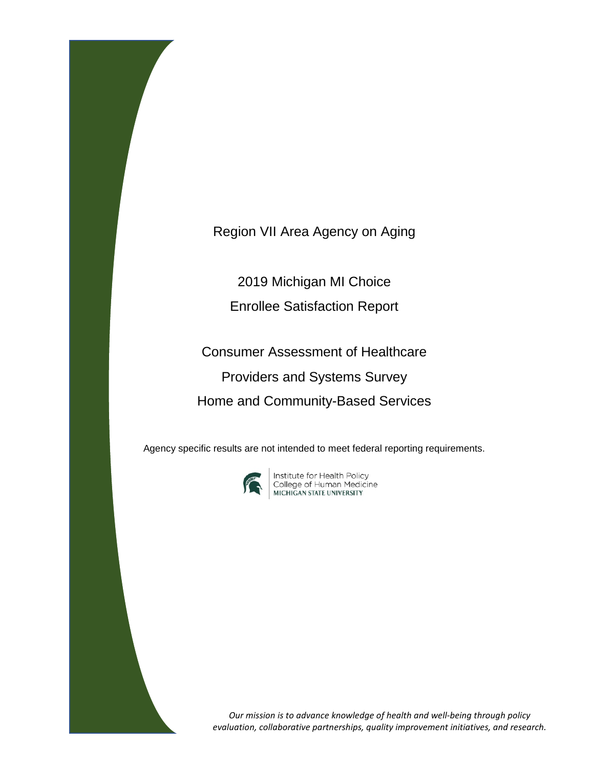Region VII Area Agency on Aging

2019 Michigan MI Choice Enrollee Satisfaction Report

Consumer Assessment of Healthcare Providers and Systems Survey Home and Community-Based Services

Agency specific results are not intended to meet federal reporting requirements.



**Institute for Health Policy<br>College of Human Medicine<br>MICHIGAN STATE UNIVERSITY** 

*Our mission is to advance knowledge of health and well-being through policy evaluation, collaborative partnerships, quality improvement initiatives, and research.*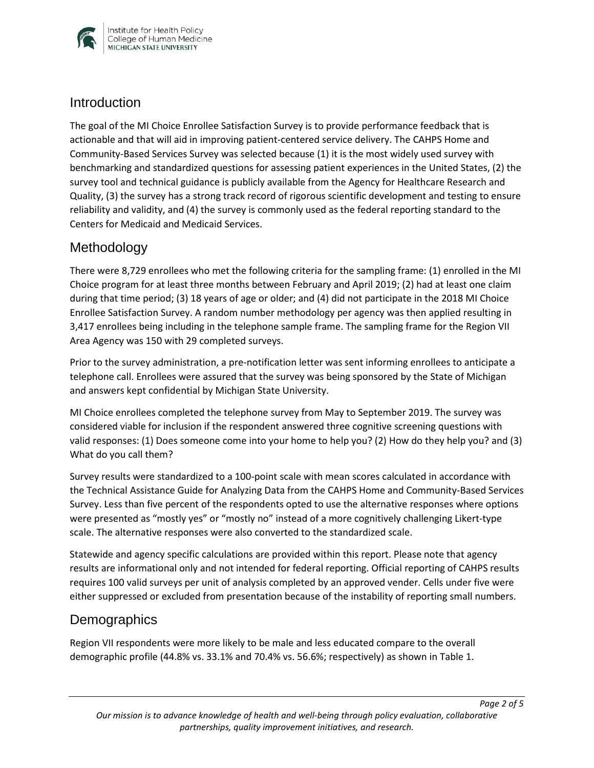

#### **Introduction**

The goal of the MI Choice Enrollee Satisfaction Survey is to provide performance feedback that is actionable and that will aid in improving patient-centered service delivery. The CAHPS Home and Community-Based Services Survey was selected because (1) it is the most widely used survey with benchmarking and standardized questions for assessing patient experiences in the United States, (2) the survey tool and technical guidance is publicly available from the Agency for Healthcare Research and Quality, (3) the survey has a strong track record of rigorous scientific development and testing to ensure reliability and validity, and (4) the survey is commonly used as the federal reporting standard to the Centers for Medicaid and Medicaid Services.

## Methodology

There were 8,729 enrollees who met the following criteria for the sampling frame: (1) enrolled in the MI Choice program for at least three months between February and April 2019; (2) had at least one claim during that time period; (3) 18 years of age or older; and (4) did not participate in the 2018 MI Choice Enrollee Satisfaction Survey. A random number methodology per agency was then applied resulting in 3,417 enrollees being including in the telephone sample frame. The sampling frame for the Region VII Area Agency was 150 with 29 completed surveys.

Prior to the survey administration, a pre-notification letter was sent informing enrollees to anticipate a telephone call. Enrollees were assured that the survey was being sponsored by the State of Michigan and answers kept confidential by Michigan State University.

MI Choice enrollees completed the telephone survey from May to September 2019. The survey was considered viable for inclusion if the respondent answered three cognitive screening questions with valid responses: (1) Does someone come into your home to help you? (2) How do they help you? and (3) What do you call them?

Survey results were standardized to a 100-point scale with mean scores calculated in accordance with the Technical Assistance Guide for Analyzing Data from the CAHPS Home and Community-Based Services Survey. Less than five percent of the respondents opted to use the alternative responses where options were presented as "mostly yes" or "mostly no" instead of a more cognitively challenging Likert-type scale. The alternative responses were also converted to the standardized scale.

Statewide and agency specific calculations are provided within this report. Please note that agency results are informational only and not intended for federal reporting. Official reporting of CAHPS results requires 100 valid surveys per unit of analysis completed by an approved vender. Cells under five were either suppressed or excluded from presentation because of the instability of reporting small numbers.

## **Demographics**

Region VII respondents were more likely to be male and less educated compare to the overall demographic profile (44.8% vs. 33.1% and 70.4% vs. 56.6%; respectively) as shown in Table 1.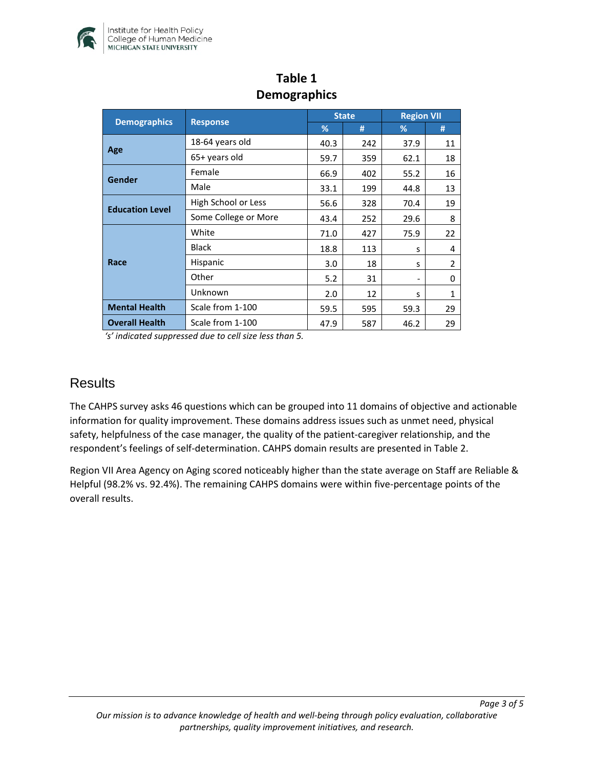

| <b>Demographics</b>    | <b>Response</b>      | <b>State</b> |     | <b>Region VII</b> |                |
|------------------------|----------------------|--------------|-----|-------------------|----------------|
|                        |                      | %            | #   | %                 | #              |
| Age                    | 18-64 years old      | 40.3         | 242 | 37.9              | 11             |
|                        | 65+ years old        | 59.7         | 359 | 62.1              | 18             |
| Gender                 | Female               | 66.9         | 402 | 55.2              | 16             |
|                        | Male                 | 33.1         | 199 | 44.8              | 13             |
| <b>Education Level</b> | High School or Less  | 56.6         | 328 | 70.4              | 19             |
|                        | Some College or More | 43.4         | 252 | 29.6              | 8              |
| Race                   | White                | 71.0         | 427 | 75.9              | 22             |
|                        | <b>Black</b>         | 18.8         | 113 | S                 | 4              |
|                        | Hispanic             | 3.0          | 18  | S                 | $\overline{2}$ |
|                        | Other                | 5.2          | 31  |                   | 0              |
|                        | Unknown              | 2.0          | 12  | S                 | $\mathbf{1}$   |
| <b>Mental Health</b>   | Scale from 1-100     | 59.5         | 595 | 59.3              | 29             |
| <b>Overall Health</b>  | Scale from 1-100     | 47.9         | 587 | 46.2              | 29             |

## **Table 1 Demographics**

*'s' indicated suppressed due to cell size less than 5.* 

#### **Results**

The CAHPS survey asks 46 questions which can be grouped into 11 domains of objective and actionable information for quality improvement. These domains address issues such as unmet need, physical safety, helpfulness of the case manager, the quality of the patient-caregiver relationship, and the respondent's feelings of self-determination. CAHPS domain results are presented in Table 2.

Region VII Area Agency on Aging scored noticeably higher than the state average on Staff are Reliable & Helpful (98.2% vs. 92.4%). The remaining CAHPS domains were within five-percentage points of the overall results.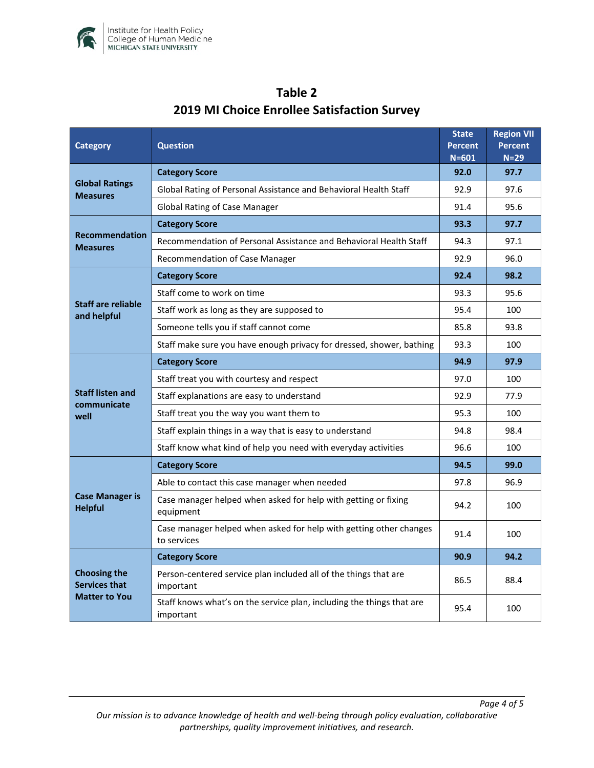

| <b>Category</b>                                                     | <b>Question</b>                                                                    |      | <b>Region VII</b><br><b>Percent</b><br>$N=29$ |
|---------------------------------------------------------------------|------------------------------------------------------------------------------------|------|-----------------------------------------------|
| <b>Global Ratings</b><br><b>Measures</b>                            | <b>Category Score</b>                                                              |      | 97.7                                          |
|                                                                     | Global Rating of Personal Assistance and Behavioral Health Staff                   |      | 97.6                                          |
|                                                                     | <b>Global Rating of Case Manager</b>                                               |      | 95.6                                          |
| <b>Recommendation</b><br><b>Measures</b>                            | <b>Category Score</b>                                                              |      | 97.7                                          |
|                                                                     | Recommendation of Personal Assistance and Behavioral Health Staff                  |      | 97.1                                          |
|                                                                     | Recommendation of Case Manager                                                     |      | 96.0                                          |
| <b>Staff are reliable</b><br>and helpful                            | <b>Category Score</b>                                                              |      | 98.2                                          |
|                                                                     | Staff come to work on time                                                         |      | 95.6                                          |
|                                                                     | Staff work as long as they are supposed to                                         |      | 100                                           |
|                                                                     | Someone tells you if staff cannot come                                             |      | 93.8                                          |
|                                                                     | Staff make sure you have enough privacy for dressed, shower, bathing               |      | 100                                           |
| <b>Staff listen and</b><br>communicate<br>well                      | <b>Category Score</b>                                                              | 94.9 | 97.9                                          |
|                                                                     | Staff treat you with courtesy and respect                                          |      | 100                                           |
|                                                                     | Staff explanations are easy to understand                                          |      | 77.9                                          |
|                                                                     | Staff treat you the way you want them to                                           |      | 100                                           |
|                                                                     | Staff explain things in a way that is easy to understand                           |      | 98.4                                          |
|                                                                     | Staff know what kind of help you need with everyday activities                     |      | 100                                           |
| <b>Case Manager is</b><br><b>Helpful</b>                            | <b>Category Score</b>                                                              | 94.5 | 99.0                                          |
|                                                                     | Able to contact this case manager when needed                                      |      | 96.9                                          |
|                                                                     | Case manager helped when asked for help with getting or fixing<br>equipment        |      | 100                                           |
|                                                                     | Case manager helped when asked for help with getting other changes<br>to services  | 91.4 | 100                                           |
| <b>Choosing the</b><br><b>Services that</b><br><b>Matter to You</b> | <b>Category Score</b>                                                              | 90.9 | 94.2                                          |
|                                                                     | Person-centered service plan included all of the things that are<br>important      |      | 88.4                                          |
|                                                                     | Staff knows what's on the service plan, including the things that are<br>important | 95.4 | 100                                           |

# **Table 2 2019 MI Choice Enrollee Satisfaction Survey**